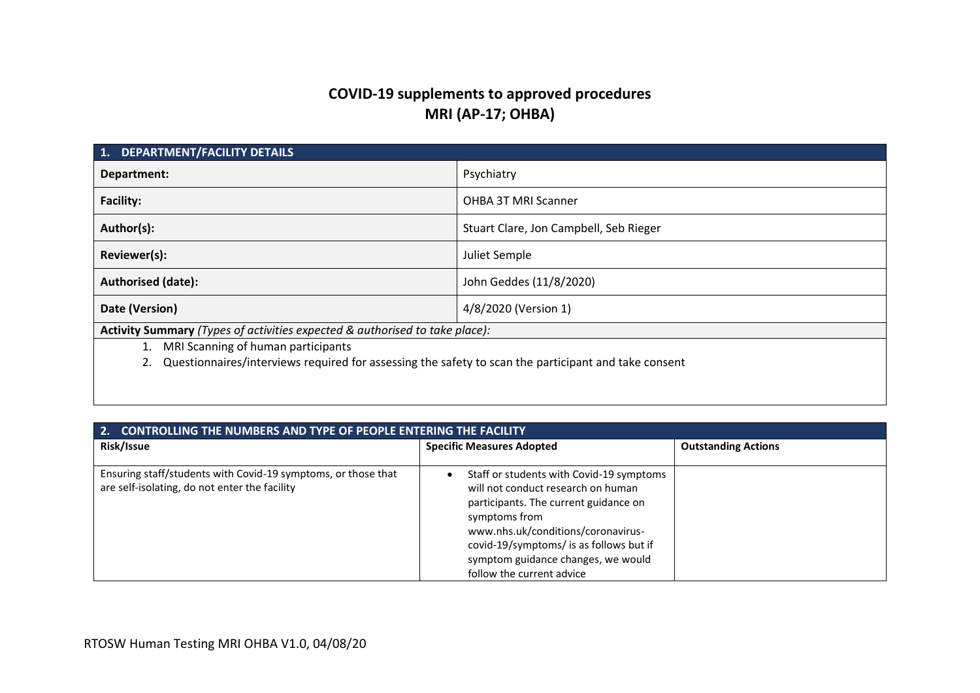# **COVID-19 supplements to approved procedures MRI (AP-17; OHBA)**

| <b>DEPARTMENT/FACILITY DETAILS</b><br>1.                                                             |                                        |  |  |
|------------------------------------------------------------------------------------------------------|----------------------------------------|--|--|
| Department:                                                                                          | Psychiatry                             |  |  |
| <b>Facility:</b>                                                                                     | OHBA 3T MRI Scanner                    |  |  |
| Author(s):                                                                                           | Stuart Clare, Jon Campbell, Seb Rieger |  |  |
| Reviewer(s):                                                                                         | Juliet Semple                          |  |  |
| Authorised (date):                                                                                   | John Geddes (11/8/2020)                |  |  |
| 4/8/2020 (Version 1)<br>Date (Version)                                                               |                                        |  |  |
| Activity Summary (Types of activities expected & authorised to take place):                          |                                        |  |  |
| MRI Scanning of human participants                                                                   |                                        |  |  |
| Questionnaires/interviews required for assessing the safety to scan the participant and take consent |                                        |  |  |
|                                                                                                      |                                        |  |  |
|                                                                                                      |                                        |  |  |

| <b>CONTROLLING THE NUMBERS AND TYPE OF PEOPLE ENTERING THE FACILITY</b>                                        |                                                                                                                                                                                                                                                                                              |  |  |  |
|----------------------------------------------------------------------------------------------------------------|----------------------------------------------------------------------------------------------------------------------------------------------------------------------------------------------------------------------------------------------------------------------------------------------|--|--|--|
| Risk/Issue                                                                                                     | <b>Specific Measures Adopted</b>                                                                                                                                                                                                                                                             |  |  |  |
| Ensuring staff/students with Covid-19 symptoms, or those that<br>are self-isolating, do not enter the facility | Staff or students with Covid-19 symptoms<br>will not conduct research on human<br>participants. The current guidance on<br>symptoms from<br>www.nhs.uk/conditions/coronavirus-<br>covid-19/symptoms/ is as follows but if<br>symptom guidance changes, we would<br>follow the current advice |  |  |  |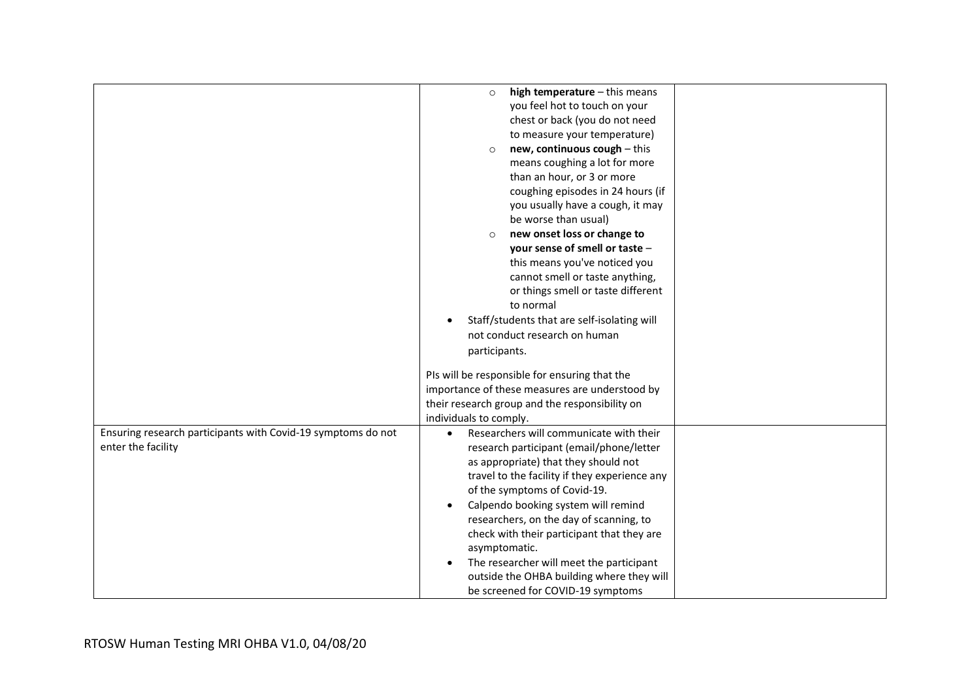|                                                              | high temperature - this means<br>$\circ$                 |  |  |
|--------------------------------------------------------------|----------------------------------------------------------|--|--|
|                                                              | you feel hot to touch on your                            |  |  |
|                                                              | chest or back (you do not need                           |  |  |
|                                                              | to measure your temperature)                             |  |  |
|                                                              | new, continuous cough - this<br>$\circ$                  |  |  |
|                                                              | means coughing a lot for more                            |  |  |
|                                                              | than an hour, or 3 or more                               |  |  |
|                                                              | coughing episodes in 24 hours (if                        |  |  |
|                                                              | you usually have a cough, it may                         |  |  |
|                                                              | be worse than usual)                                     |  |  |
|                                                              | new onset loss or change to<br>$\circ$                   |  |  |
|                                                              | your sense of smell or taste -                           |  |  |
|                                                              | this means you've noticed you                            |  |  |
|                                                              | cannot smell or taste anything,                          |  |  |
|                                                              | or things smell or taste different                       |  |  |
|                                                              | to normal                                                |  |  |
|                                                              | Staff/students that are self-isolating will<br>$\bullet$ |  |  |
|                                                              | not conduct research on human                            |  |  |
|                                                              | participants.                                            |  |  |
|                                                              |                                                          |  |  |
|                                                              | PIs will be responsible for ensuring that the            |  |  |
|                                                              | importance of these measures are understood by           |  |  |
|                                                              | their research group and the responsibility on           |  |  |
|                                                              | individuals to comply.                                   |  |  |
| Ensuring research participants with Covid-19 symptoms do not | Researchers will communicate with their<br>$\bullet$     |  |  |
| enter the facility                                           | research participant (email/phone/letter                 |  |  |
|                                                              | as appropriate) that they should not                     |  |  |
|                                                              | travel to the facility if they experience any            |  |  |
|                                                              | of the symptoms of Covid-19.                             |  |  |
|                                                              | Calpendo booking system will remind<br>$\bullet$         |  |  |
|                                                              | researchers, on the day of scanning, to                  |  |  |
|                                                              | check with their participant that they are               |  |  |
|                                                              | asymptomatic.                                            |  |  |
|                                                              | The researcher will meet the participant<br>$\bullet$    |  |  |
|                                                              |                                                          |  |  |
|                                                              | outside the OHBA building where they will                |  |  |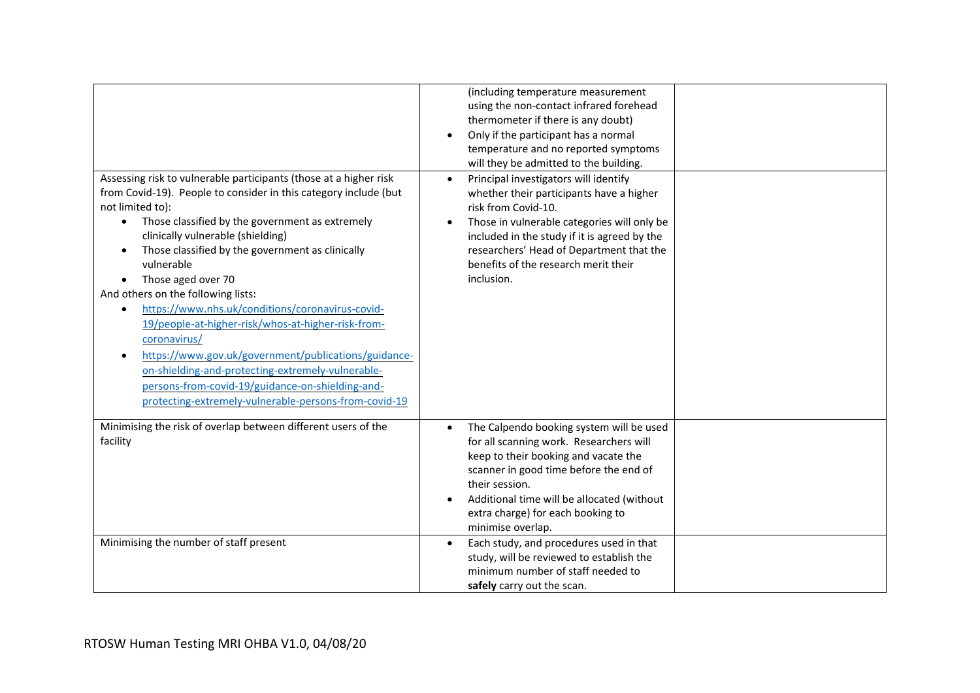| Assessing risk to vulnerable participants (those at a higher risk<br>from Covid-19). People to consider in this category include (but<br>not limited to):<br>Those classified by the government as extremely<br>$\bullet$<br>clinically vulnerable (shielding)<br>Those classified by the government as clinically<br>vulnerable<br>Those aged over 70<br>And others on the following lists:<br>https://www.nhs.uk/conditions/coronavirus-covid-<br>$\bullet$<br>19/people-at-higher-risk/whos-at-higher-risk-from-<br>coronavirus/<br>https://www.gov.uk/government/publications/guidance-<br>on-shielding-and-protecting-extremely-vulnerable-<br>persons-from-covid-19/guidance-on-shielding-and-<br>protecting-extremely-vulnerable-persons-from-covid-19 | (including temperature measurement<br>using the non-contact infrared forehead<br>thermometer if there is any doubt)<br>Only if the participant has a normal<br>temperature and no reported symptoms<br>will they be admitted to the building.<br>Principal investigators will identify<br>whether their participants have a higher<br>risk from Covid-10.<br>Those in vulnerable categories will only be<br>included in the study if it is agreed by the<br>researchers' Head of Department that the<br>benefits of the research merit their<br>inclusion. |
|---------------------------------------------------------------------------------------------------------------------------------------------------------------------------------------------------------------------------------------------------------------------------------------------------------------------------------------------------------------------------------------------------------------------------------------------------------------------------------------------------------------------------------------------------------------------------------------------------------------------------------------------------------------------------------------------------------------------------------------------------------------|------------------------------------------------------------------------------------------------------------------------------------------------------------------------------------------------------------------------------------------------------------------------------------------------------------------------------------------------------------------------------------------------------------------------------------------------------------------------------------------------------------------------------------------------------------|
| Minimising the risk of overlap between different users of the<br>facility                                                                                                                                                                                                                                                                                                                                                                                                                                                                                                                                                                                                                                                                                     | The Calpendo booking system will be used<br>for all scanning work. Researchers will<br>keep to their booking and vacate the<br>scanner in good time before the end of<br>their session.<br>Additional time will be allocated (without<br>extra charge) for each booking to<br>minimise overlap.                                                                                                                                                                                                                                                            |
| Minimising the number of staff present                                                                                                                                                                                                                                                                                                                                                                                                                                                                                                                                                                                                                                                                                                                        | Each study, and procedures used in that<br>study, will be reviewed to establish the<br>minimum number of staff needed to<br>safely carry out the scan.                                                                                                                                                                                                                                                                                                                                                                                                     |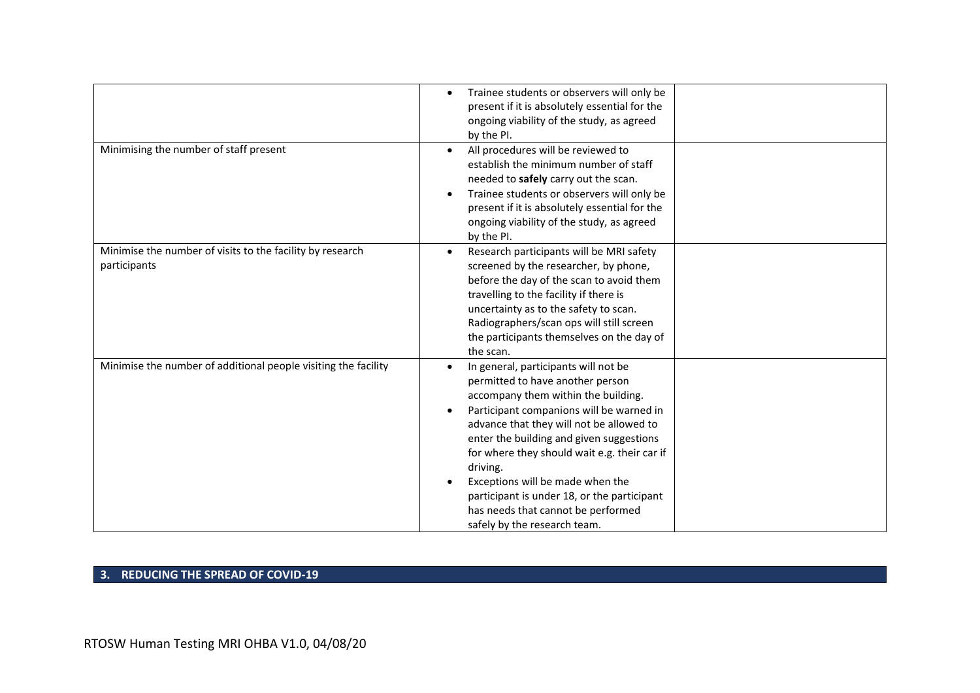|                                                                           | Trainee students or observers will only be<br>present if it is absolutely essential for the<br>ongoing viability of the study, as agreed<br>by the PI.                                                                                                                                                                                                                                                                                                                   |  |
|---------------------------------------------------------------------------|--------------------------------------------------------------------------------------------------------------------------------------------------------------------------------------------------------------------------------------------------------------------------------------------------------------------------------------------------------------------------------------------------------------------------------------------------------------------------|--|
| Minimising the number of staff present                                    | All procedures will be reviewed to<br>establish the minimum number of staff<br>needed to safely carry out the scan.<br>Trainee students or observers will only be<br>present if it is absolutely essential for the<br>ongoing viability of the study, as agreed<br>by the PI.                                                                                                                                                                                            |  |
| Minimise the number of visits to the facility by research<br>participants | Research participants will be MRI safety<br>screened by the researcher, by phone,<br>before the day of the scan to avoid them<br>travelling to the facility if there is<br>uncertainty as to the safety to scan.<br>Radiographers/scan ops will still screen<br>the participants themselves on the day of<br>the scan.                                                                                                                                                   |  |
| Minimise the number of additional people visiting the facility            | In general, participants will not be<br>permitted to have another person<br>accompany them within the building.<br>Participant companions will be warned in<br>advance that they will not be allowed to<br>enter the building and given suggestions<br>for where they should wait e.g. their car if<br>driving.<br>Exceptions will be made when the<br>participant is under 18, or the participant<br>has needs that cannot be performed<br>safely by the research team. |  |

#### **3. REDUCING THE SPREAD OF COVID-19**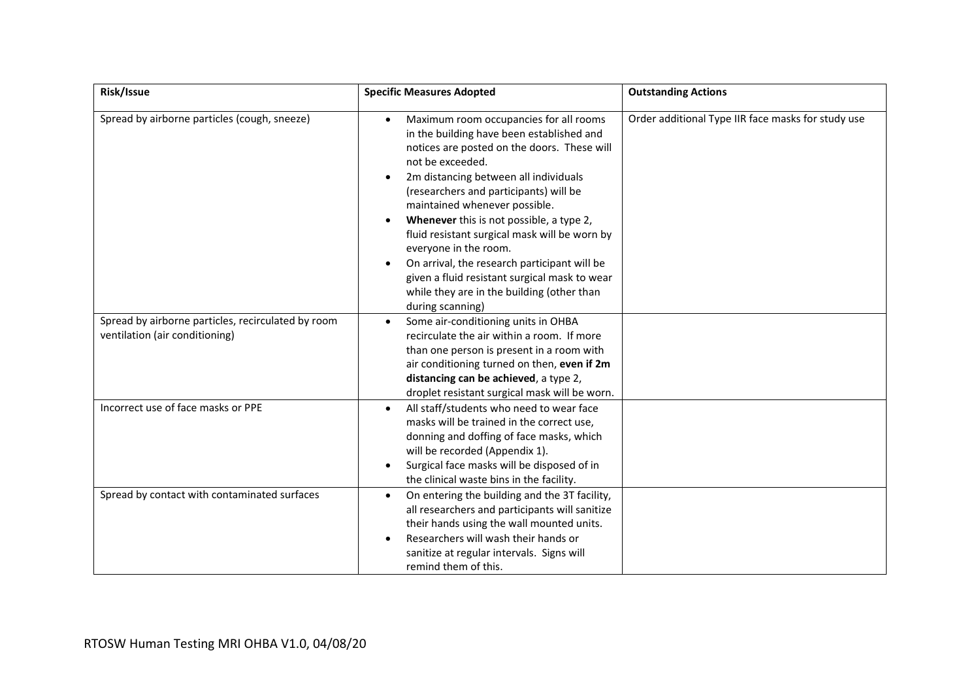| Risk/Issue                                                                           | <b>Specific Measures Adopted</b>                                                                                                                                                                                                                                                                                                                                                                                                                                                                                                                                                              | <b>Outstanding Actions</b>                         |
|--------------------------------------------------------------------------------------|-----------------------------------------------------------------------------------------------------------------------------------------------------------------------------------------------------------------------------------------------------------------------------------------------------------------------------------------------------------------------------------------------------------------------------------------------------------------------------------------------------------------------------------------------------------------------------------------------|----------------------------------------------------|
| Spread by airborne particles (cough, sneeze)                                         | Maximum room occupancies for all rooms<br>$\bullet$<br>in the building have been established and<br>notices are posted on the doors. These will<br>not be exceeded.<br>2m distancing between all individuals<br>$\bullet$<br>(researchers and participants) will be<br>maintained whenever possible.<br>Whenever this is not possible, a type 2,<br>fluid resistant surgical mask will be worn by<br>everyone in the room.<br>On arrival, the research participant will be<br>given a fluid resistant surgical mask to wear<br>while they are in the building (other than<br>during scanning) | Order additional Type IIR face masks for study use |
| Spread by airborne particles, recirculated by room<br>ventilation (air conditioning) | Some air-conditioning units in OHBA<br>recirculate the air within a room. If more<br>than one person is present in a room with<br>air conditioning turned on then, even if 2m<br>distancing can be achieved, a type 2,<br>droplet resistant surgical mask will be worn.                                                                                                                                                                                                                                                                                                                       |                                                    |
| Incorrect use of face masks or PPE                                                   | All staff/students who need to wear face<br>$\bullet$<br>masks will be trained in the correct use,<br>donning and doffing of face masks, which<br>will be recorded (Appendix 1).<br>Surgical face masks will be disposed of in<br>the clinical waste bins in the facility.                                                                                                                                                                                                                                                                                                                    |                                                    |
| Spread by contact with contaminated surfaces                                         | On entering the building and the 3T facility,<br>$\bullet$<br>all researchers and participants will sanitize<br>their hands using the wall mounted units.<br>Researchers will wash their hands or<br>sanitize at regular intervals. Signs will<br>remind them of this.                                                                                                                                                                                                                                                                                                                        |                                                    |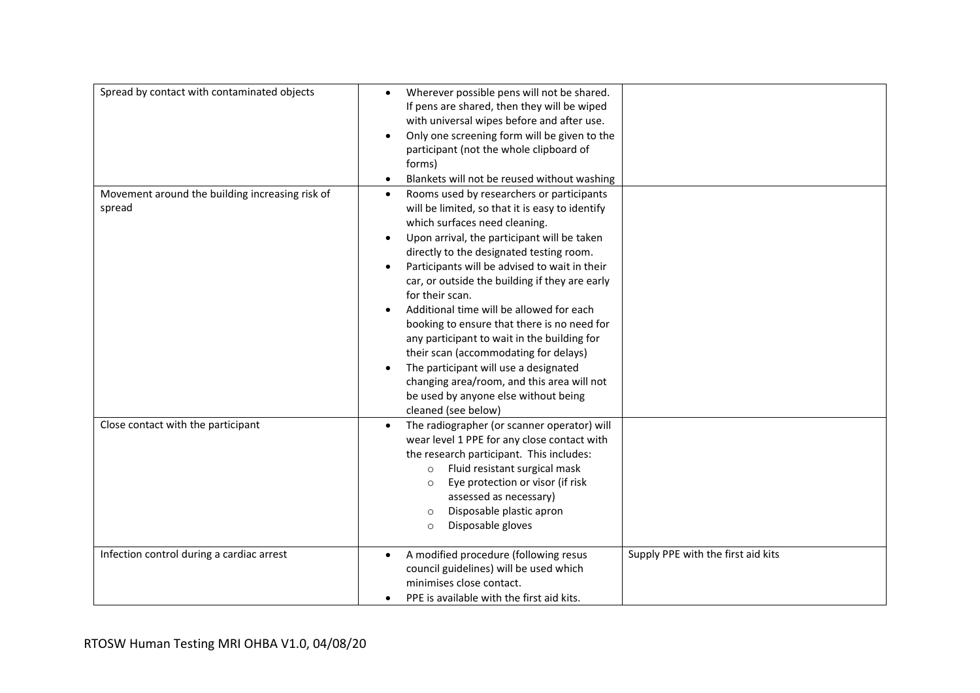| Spread by contact with contaminated objects               | Wherever possible pens will not be shared.<br>If pens are shared, then they will be wiped<br>with universal wipes before and after use.<br>Only one screening form will be given to the<br>$\bullet$<br>participant (not the whole clipboard of<br>forms)<br>Blankets will not be reused without washing                                                                                                                                                                                                                                                                                                                                                                                             |                                    |
|-----------------------------------------------------------|------------------------------------------------------------------------------------------------------------------------------------------------------------------------------------------------------------------------------------------------------------------------------------------------------------------------------------------------------------------------------------------------------------------------------------------------------------------------------------------------------------------------------------------------------------------------------------------------------------------------------------------------------------------------------------------------------|------------------------------------|
| Movement around the building increasing risk of<br>spread | Rooms used by researchers or participants<br>$\bullet$<br>will be limited, so that it is easy to identify<br>which surfaces need cleaning.<br>Upon arrival, the participant will be taken<br>directly to the designated testing room.<br>Participants will be advised to wait in their<br>car, or outside the building if they are early<br>for their scan.<br>Additional time will be allowed for each<br>booking to ensure that there is no need for<br>any participant to wait in the building for<br>their scan (accommodating for delays)<br>The participant will use a designated<br>changing area/room, and this area will not<br>be used by anyone else without being<br>cleaned (see below) |                                    |
| Close contact with the participant                        | The radiographer (or scanner operator) will<br>wear level 1 PPE for any close contact with<br>the research participant. This includes:<br>Fluid resistant surgical mask<br>$\circ$<br>Eye protection or visor (if risk<br>$\circ$<br>assessed as necessary)<br>Disposable plastic apron<br>$\circ$<br>Disposable gloves<br>$\circ$                                                                                                                                                                                                                                                                                                                                                                   |                                    |
| Infection control during a cardiac arrest                 | A modified procedure (following resus<br>council guidelines) will be used which<br>minimises close contact.<br>PPE is available with the first aid kits.                                                                                                                                                                                                                                                                                                                                                                                                                                                                                                                                             | Supply PPE with the first aid kits |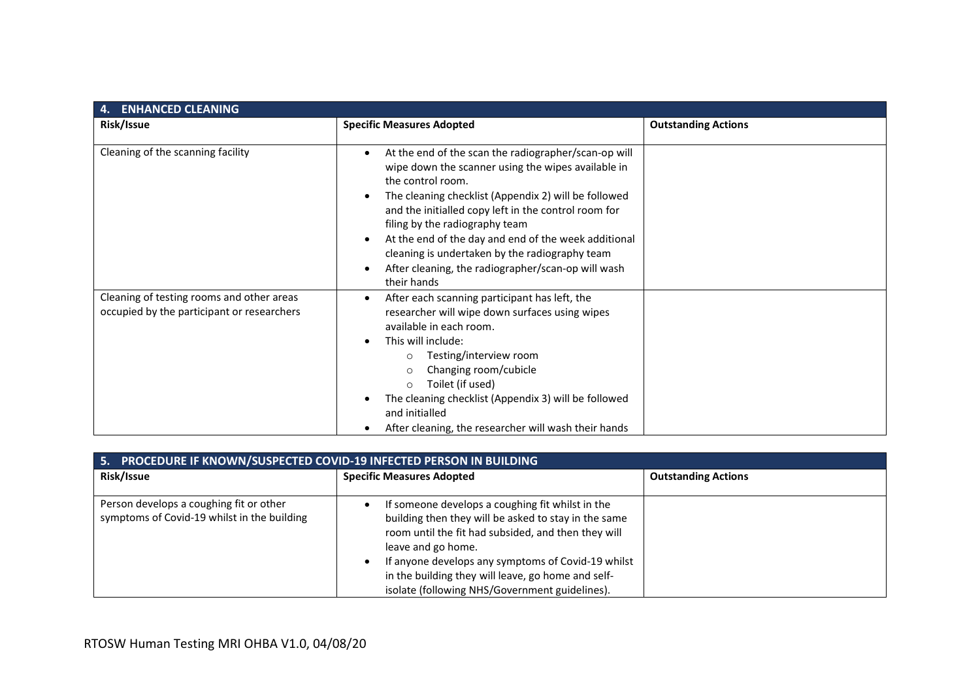| <b>ENHANCED CLEANING</b><br>4.                                                          |                                                                                                                                                                                                                                                                                                                                                                                                                                                                  |                            |  |
|-----------------------------------------------------------------------------------------|------------------------------------------------------------------------------------------------------------------------------------------------------------------------------------------------------------------------------------------------------------------------------------------------------------------------------------------------------------------------------------------------------------------------------------------------------------------|----------------------------|--|
| Risk/Issue                                                                              | <b>Specific Measures Adopted</b>                                                                                                                                                                                                                                                                                                                                                                                                                                 | <b>Outstanding Actions</b> |  |
| Cleaning of the scanning facility                                                       | At the end of the scan the radiographer/scan-op will<br>wipe down the scanner using the wipes available in<br>the control room.<br>The cleaning checklist (Appendix 2) will be followed<br>and the initialled copy left in the control room for<br>filing by the radiography team<br>At the end of the day and end of the week additional<br>cleaning is undertaken by the radiography team<br>After cleaning, the radiographer/scan-op will wash<br>their hands |                            |  |
| Cleaning of testing rooms and other areas<br>occupied by the participant or researchers | After each scanning participant has left, the<br>researcher will wipe down surfaces using wipes<br>available in each room.<br>This will include:<br>Testing/interview room<br>$\circ$<br>Changing room/cubicle<br>$\circ$<br>Toilet (if used)<br>$\circ$<br>The cleaning checklist (Appendix 3) will be followed<br>and initialled<br>After cleaning, the researcher will wash their hands                                                                       |                            |  |

| 5. PROCEDURE IF KNOWN/SUSPECTED COVID-19 INFECTED PERSON IN BUILDING                   |                                                                                                                                                                                                                                                                                                                                                     |                            |  |
|----------------------------------------------------------------------------------------|-----------------------------------------------------------------------------------------------------------------------------------------------------------------------------------------------------------------------------------------------------------------------------------------------------------------------------------------------------|----------------------------|--|
| Risk/Issue                                                                             | <b>Specific Measures Adopted</b>                                                                                                                                                                                                                                                                                                                    | <b>Outstanding Actions</b> |  |
| Person develops a coughing fit or other<br>symptoms of Covid-19 whilst in the building | If someone develops a coughing fit whilst in the<br>building then they will be asked to stay in the same<br>room until the fit had subsided, and then they will<br>leave and go home.<br>If anyone develops any symptoms of Covid-19 whilst<br>in the building they will leave, go home and self-<br>isolate (following NHS/Government guidelines). |                            |  |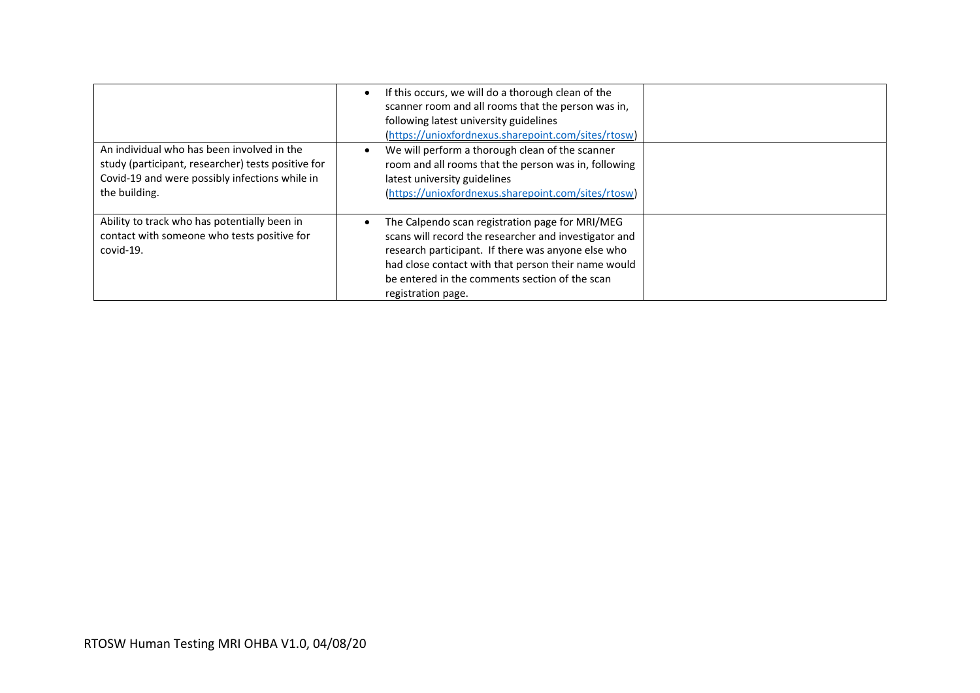|                                                                                                                                                                     | If this occurs, we will do a thorough clean of the<br>scanner room and all rooms that the person was in,<br>following latest university guidelines<br>(https://unioxfordnexus.sharepoint.com/sites/rtosw)                                                                                     |  |
|---------------------------------------------------------------------------------------------------------------------------------------------------------------------|-----------------------------------------------------------------------------------------------------------------------------------------------------------------------------------------------------------------------------------------------------------------------------------------------|--|
| An individual who has been involved in the<br>study (participant, researcher) tests positive for<br>Covid-19 and were possibly infections while in<br>the building. | We will perform a thorough clean of the scanner<br>room and all rooms that the person was in, following<br>latest university guidelines<br>(https://unioxfordnexus.sharepoint.com/sites/rtosw)                                                                                                |  |
| Ability to track who has potentially been in<br>contact with someone who tests positive for<br>covid-19.                                                            | The Calpendo scan registration page for MRI/MEG<br>scans will record the researcher and investigator and<br>research participant. If there was anyone else who<br>had close contact with that person their name would<br>be entered in the comments section of the scan<br>registration page. |  |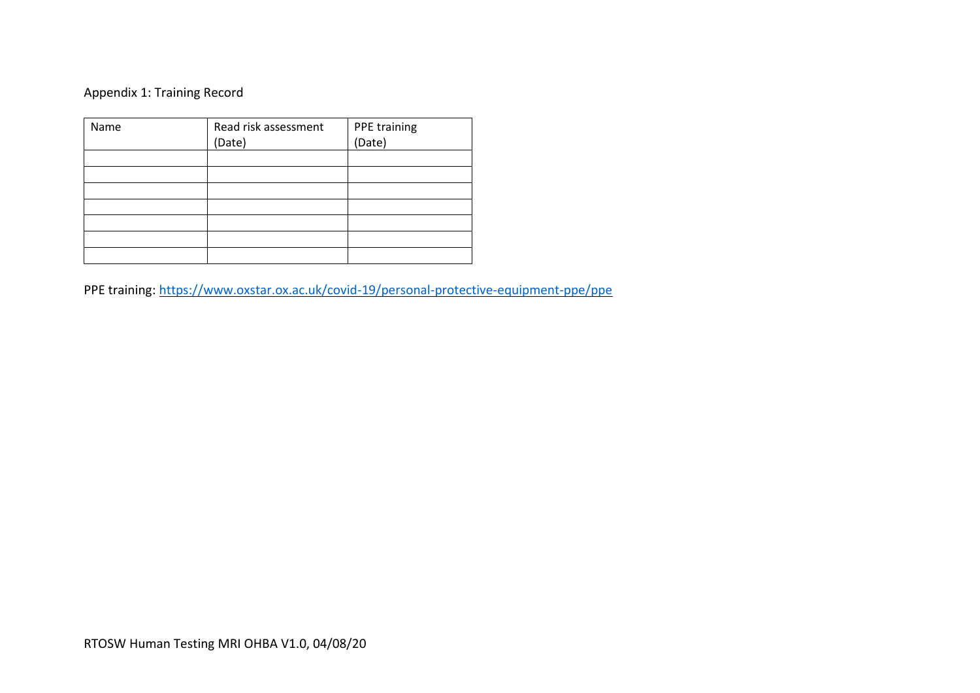## Appendix 1: Training Record

| Name | Read risk assessment | PPE training<br>(Date) |
|------|----------------------|------------------------|
|      | (Date)               |                        |
|      |                      |                        |
|      |                      |                        |
|      |                      |                        |
|      |                      |                        |
|      |                      |                        |
|      |                      |                        |
|      |                      |                        |

PPE training:<https://www.oxstar.ox.ac.uk/covid-19/personal-protective-equipment-ppe/ppe>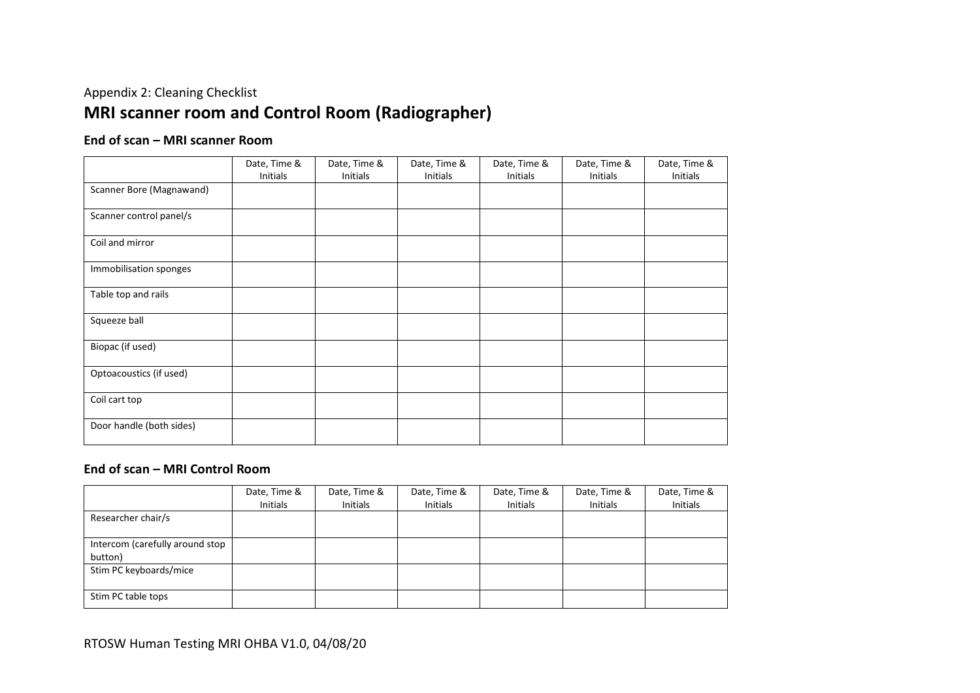# Appendix 2: Cleaning Checklist **MRI scanner room and Control Room (Radiographer)**

#### **End of scan – MRI scanner Room**

|                          | Date, Time & | Date, Time & | Date, Time & | Date, Time & | Date, Time & | Date, Time & |
|--------------------------|--------------|--------------|--------------|--------------|--------------|--------------|
|                          | Initials     | Initials     | Initials     | Initials     | Initials     | Initials     |
| Scanner Bore (Magnawand) |              |              |              |              |              |              |
| Scanner control panel/s  |              |              |              |              |              |              |
| Coil and mirror          |              |              |              |              |              |              |
| Immobilisation sponges   |              |              |              |              |              |              |
| Table top and rails      |              |              |              |              |              |              |
| Squeeze ball             |              |              |              |              |              |              |
| Biopac (if used)         |              |              |              |              |              |              |
| Optoacoustics (if used)  |              |              |              |              |              |              |
| Coil cart top            |              |              |              |              |              |              |
| Door handle (both sides) |              |              |              |              |              |              |

#### **End of scan – MRI Control Room**

|                                 | Date, Time &<br>Initials | Date, Time &<br>Initials | Date, Time &<br>Initials | Date, Time &<br>Initials | Date, Time &<br><b>Initials</b> | Date, Time & |
|---------------------------------|--------------------------|--------------------------|--------------------------|--------------------------|---------------------------------|--------------|
|                                 |                          |                          |                          |                          |                                 | Initials     |
| Researcher chair/s              |                          |                          |                          |                          |                                 |              |
|                                 |                          |                          |                          |                          |                                 |              |
| Intercom (carefully around stop |                          |                          |                          |                          |                                 |              |
| button)                         |                          |                          |                          |                          |                                 |              |
| Stim PC keyboards/mice          |                          |                          |                          |                          |                                 |              |
|                                 |                          |                          |                          |                          |                                 |              |
| Stim PC table tops              |                          |                          |                          |                          |                                 |              |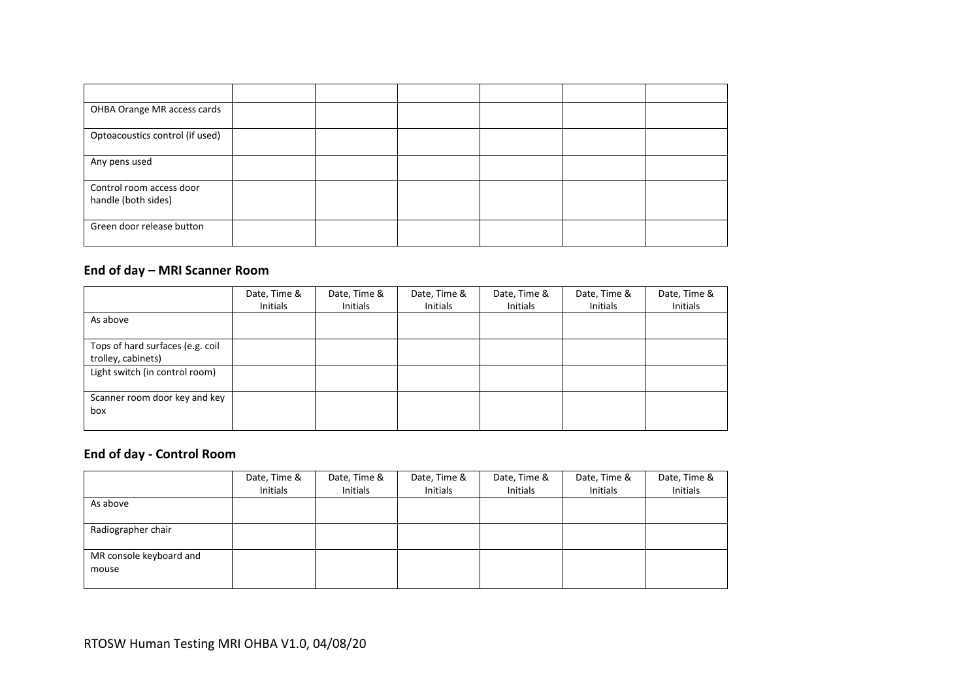| OHBA Orange MR access cards                     |  |  |  |
|-------------------------------------------------|--|--|--|
| Optoacoustics control (if used)                 |  |  |  |
| Any pens used                                   |  |  |  |
| Control room access door<br>handle (both sides) |  |  |  |
| Green door release button                       |  |  |  |

## **End of day – MRI Scanner Room**

|                                                        | Date, Time &<br>Initials | Date, Time &<br>Initials | Date, Time &<br>Initials | Date, Time &<br>Initials | Date, Time &<br>Initials | Date, Time &<br>Initials |
|--------------------------------------------------------|--------------------------|--------------------------|--------------------------|--------------------------|--------------------------|--------------------------|
| As above                                               |                          |                          |                          |                          |                          |                          |
| Tops of hard surfaces (e.g. coil<br>trolley, cabinets) |                          |                          |                          |                          |                          |                          |
| Light switch (in control room)                         |                          |                          |                          |                          |                          |                          |
| Scanner room door key and key<br>box                   |                          |                          |                          |                          |                          |                          |

## **End of day - Control Room**

|                         | Date, Time & | Date, Time & | Date, Time & | Date, Time & | Date, Time & | Date, Time & |
|-------------------------|--------------|--------------|--------------|--------------|--------------|--------------|
|                         | Initials     | Initials     | Initials     | Initials     | Initials     | Initials     |
| As above                |              |              |              |              |              |              |
|                         |              |              |              |              |              |              |
| Radiographer chair      |              |              |              |              |              |              |
|                         |              |              |              |              |              |              |
| MR console keyboard and |              |              |              |              |              |              |
| mouse                   |              |              |              |              |              |              |
|                         |              |              |              |              |              |              |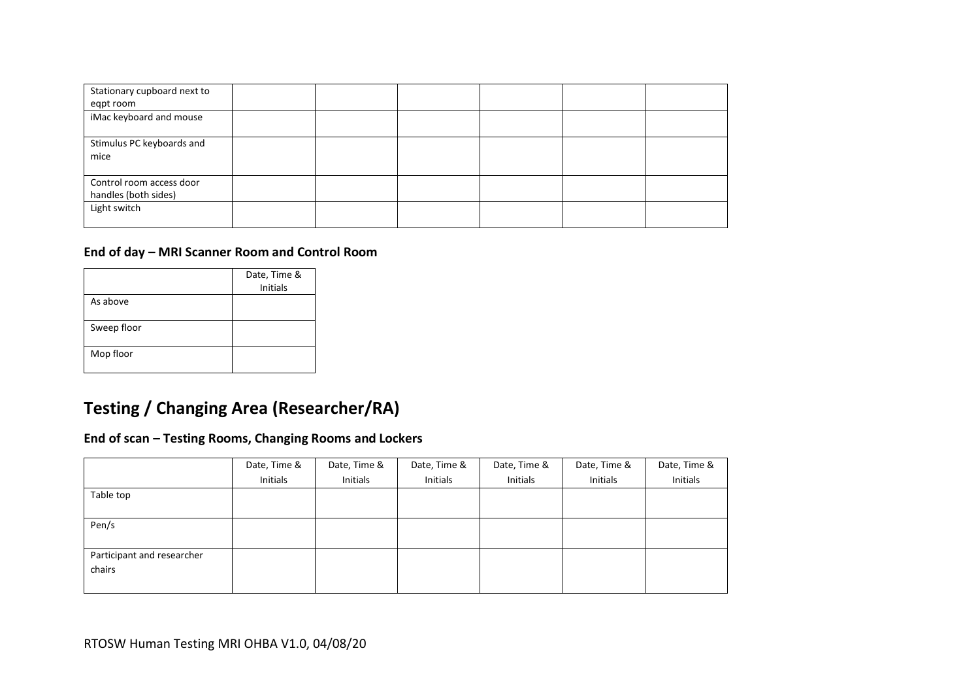| Stationary cupboard next to |  |  |  |
|-----------------------------|--|--|--|
| egpt room                   |  |  |  |
| iMac keyboard and mouse     |  |  |  |
| Stimulus PC keyboards and   |  |  |  |
| mice                        |  |  |  |
| Control room access door    |  |  |  |
| handles (both sides)        |  |  |  |
| Light switch                |  |  |  |
|                             |  |  |  |

#### **End of day – MRI Scanner Room and Control Room**

|             | Date, Time &<br><b>Initials</b> |
|-------------|---------------------------------|
| As above    |                                 |
| Sweep floor |                                 |
| Mop floor   |                                 |

# **Testing / Changing Area (Researcher/RA)**

#### **End of scan – Testing Rooms, Changing Rooms and Lockers**

|                            | Date, Time & | Date, Time & | Date, Time & | Date, Time & | Date, Time & | Date, Time & |
|----------------------------|--------------|--------------|--------------|--------------|--------------|--------------|
|                            | Initials     | Initials     | Initials     | Initials     | Initials     | Initials     |
| Table top                  |              |              |              |              |              |              |
|                            |              |              |              |              |              |              |
| Pen/s                      |              |              |              |              |              |              |
|                            |              |              |              |              |              |              |
| Participant and researcher |              |              |              |              |              |              |
| chairs                     |              |              |              |              |              |              |
|                            |              |              |              |              |              |              |